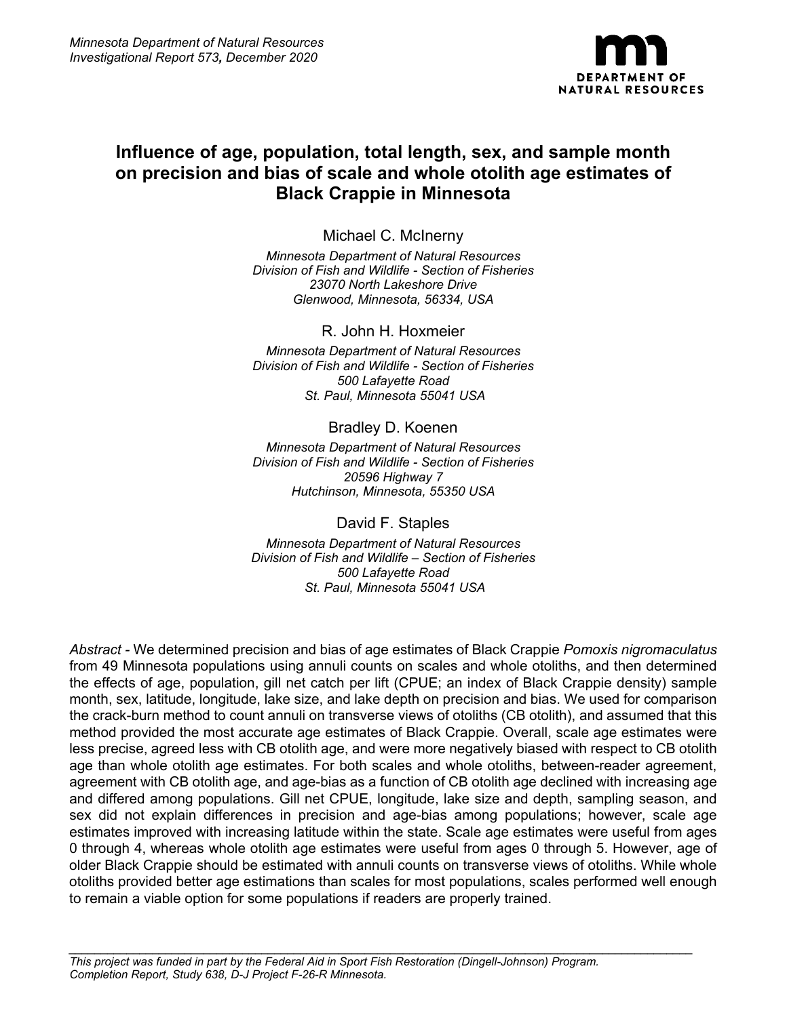

# **Influence of age, population, total length, sex, and sample month on precision and bias of scale and whole otolith age estimates of Black Crappie in Minnesota**

Michael C. McInerny *Minnesota Department of Natural Resources Division of Fish and Wildlife - Section of Fisheries 23070 North Lakeshore Drive Glenwood, Minnesota, 56334, USA*

R. John H. Hoxmeier *Minnesota Department of Natural Resources Division of Fish and Wildlife - Section of Fisheries 500 Lafayette Road St. Paul, Minnesota 55041 USA*

## Bradley D. Koenen

*Minnesota Department of Natural Resources Division of Fish and Wildlife - Section of Fisheries 20596 Highway 7 Hutchinson, Minnesota, 55350 USA*

David F. Staples

*Minnesota Department of Natural Resources Division of Fish and Wildlife – Section of Fisheries 500 Lafayette Road St. Paul, Minnesota 55041 USA*

*Abstract -* We determined precision and bias of age estimates of Black Crappie *Pomoxis nigromaculatus* from 49 Minnesota populations using annuli counts on scales and whole otoliths, and then determined the effects of age, population, gill net catch per lift (CPUE; an index of Black Crappie density) sample month, sex, latitude, longitude, lake size, and lake depth on precision and bias. We used for comparison the crack-burn method to count annuli on transverse views of otoliths (CB otolith), and assumed that this method provided the most accurate age estimates of Black Crappie. Overall, scale age estimates were less precise, agreed less with CB otolith age, and were more negatively biased with respect to CB otolith age than whole otolith age estimates. For both scales and whole otoliths, between-reader agreement, agreement with CB otolith age, and age-bias as a function of CB otolith age declined with increasing age and differed among populations. Gill net CPUE, longitude, lake size and depth, sampling season, and sex did not explain differences in precision and age-bias among populations; however, scale age estimates improved with increasing latitude within the state. Scale age estimates were useful from ages 0 through 4, whereas whole otolith age estimates were useful from ages 0 through 5. However, age of older Black Crappie should be estimated with annuli counts on transverse views of otoliths. While whole otoliths provided better age estimations than scales for most populations, scales performed well enough to remain a viable option for some populations if readers are properly trained.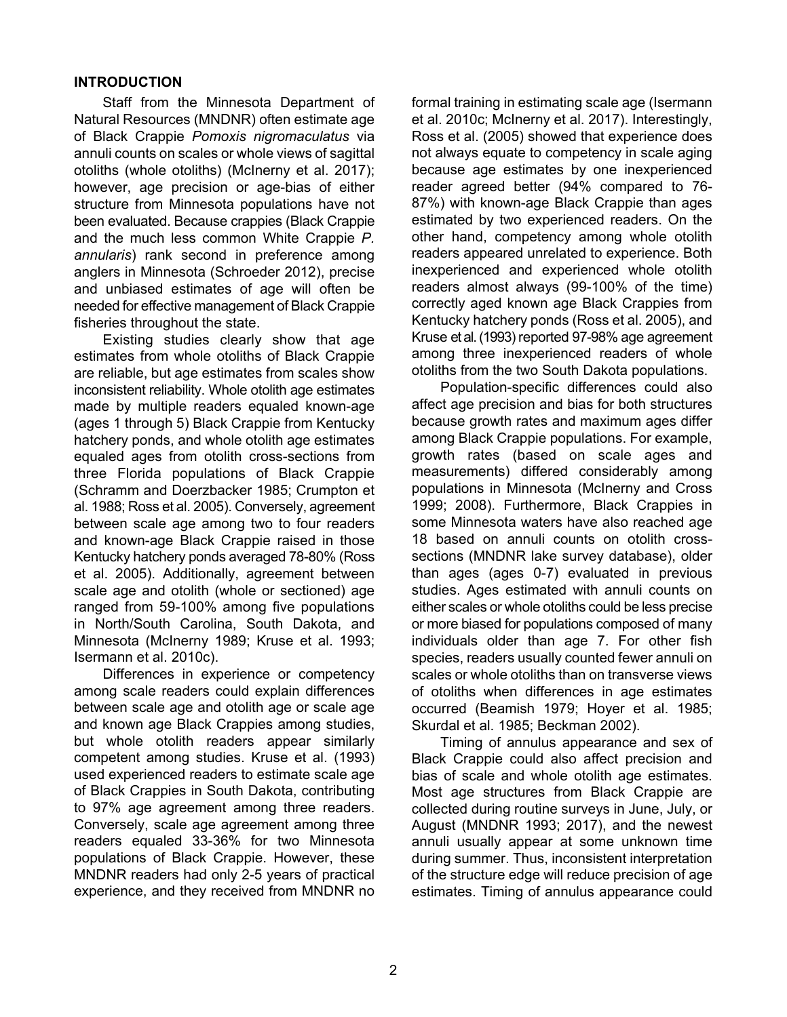#### **INTRODUCTION**

Staff from the Minnesota Department of Natural Resources (MNDNR) often estimate age of Black Crappie *Pomoxis nigromaculatus* via annuli counts on scales or whole views of sagittal otoliths (whole otoliths) (McInerny et al. 2017); however, age precision or age-bias of either structure from Minnesota populations have not been evaluated. Because crappies (Black Crappie and the much less common White Crappie *P. annularis*) rank second in preference among anglers in Minnesota (Schroeder 2012), precise and unbiased estimates of age will often be needed for effective management of Black Crappie fisheries throughout the state.

Existing studies clearly show that age estimates from whole otoliths of Black Crappie are reliable, but age estimates from scales show inconsistent reliability. Whole otolith age estimates made by multiple readers equaled known-age (ages 1 through 5) Black Crappie from Kentucky hatchery ponds, and whole otolith age estimates equaled ages from otolith cross-sections from three Florida populations of Black Crappie (Schramm and Doerzbacker 1985; Crumpton et al. 1988; Ross et al. 2005). Conversely, agreement between scale age among two to four readers and known-age Black Crappie raised in those Kentucky hatchery ponds averaged 78-80% (Ross et al. 2005). Additionally, agreement between scale age and otolith (whole or sectioned) age ranged from 59-100% among five populations in North/South Carolina, South Dakota, and Minnesota (McInerny 1989; Kruse et al. 1993; Isermann et al. 2010c).

Differences in experience or competency among scale readers could explain differences between scale age and otolith age or scale age and known age Black Crappies among studies, but whole otolith readers appear similarly competent among studies. Kruse et al. (1993) used experienced readers to estimate scale age of Black Crappies in South Dakota, contributing to 97% age agreement among three readers. Conversely, scale age agreement among three readers equaled 33-36% for two Minnesota populations of Black Crappie. However, these MNDNR readers had only 2-5 years of practical experience, and they received from MNDNR no

formal training in estimating scale age (Isermann et al. 2010c; McInerny et al. 2017). Interestingly, Ross et al. (2005) showed that experience does not always equate to competency in scale aging because age estimates by one inexperienced reader agreed better (94% compared to 76- 87%) with known-age Black Crappie than ages estimated by two experienced readers. On the other hand, competency among whole otolith readers appeared unrelated to experience. Both inexperienced and experienced whole otolith readers almost always (99-100% of the time) correctly aged known age Black Crappies from Kentucky hatchery ponds (Ross et al. 2005), and Kruse et al. (1993) reported 97-98% age agreement among three inexperienced readers of whole otoliths from the two South Dakota populations.

Population-specific differences could also affect age precision and bias for both structures because growth rates and maximum ages differ among Black Crappie populations. For example, growth rates (based on scale ages and measurements) differed considerably among populations in Minnesota (McInerny and Cross 1999; 2008). Furthermore, Black Crappies in some Minnesota waters have also reached age 18 based on annuli counts on otolith crosssections (MNDNR lake survey database), older than ages (ages 0-7) evaluated in previous studies. Ages estimated with annuli counts on either scales or whole otoliths could be less precise or more biased for populations composed of many individuals older than age 7. For other fish species, readers usually counted fewer annuli on scales or whole otoliths than on transverse views of otoliths when differences in age estimates occurred (Beamish 1979; Hoyer et al. 1985; Skurdal et al. 1985; Beckman 2002).

Timing of annulus appearance and sex of Black Crappie could also affect precision and bias of scale and whole otolith age estimates. Most age structures from Black Crappie are collected during routine surveys in June, July, or August (MNDNR 1993; 2017), and the newest annuli usually appear at some unknown time during summer. Thus, inconsistent interpretation of the structure edge will reduce precision of age estimates. Timing of annulus appearance could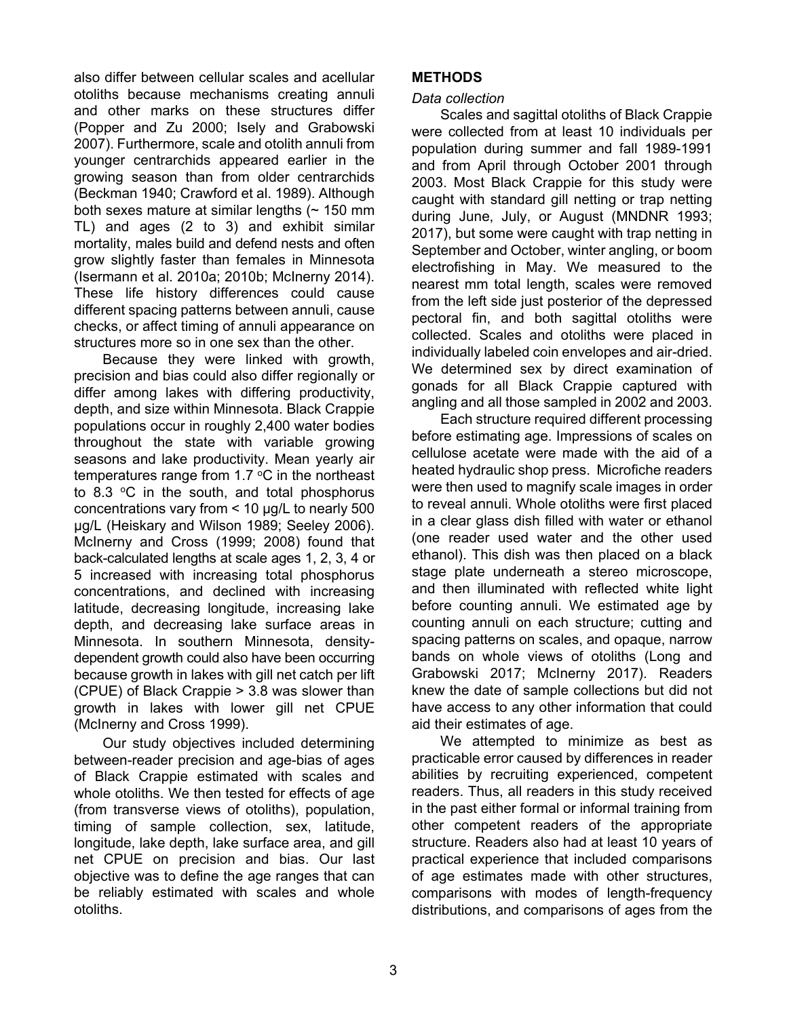also differ between cellular scales and acellular otoliths because mechanisms creating annuli and other marks on these structures differ (Popper and Zu 2000; Isely and Grabowski 2007). Furthermore, scale and otolith annuli from younger centrarchids appeared earlier in the growing season than from older centrarchids (Beckman 1940; Crawford et al. 1989). Although both sexes mature at similar lengths  $($   $\sim$  150 mm TL) and ages (2 to 3) and exhibit similar mortality, males build and defend nests and often grow slightly faster than females in Minnesota (Isermann et al. 2010a; 2010b; McInerny 2014). These life history differences could cause different spacing patterns between annuli, cause checks, or affect timing of annuli appearance on structures more so in one sex than the other.

Because they were linked with growth, precision and bias could also differ regionally or differ among lakes with differing productivity, depth, and size within Minnesota. Black Crappie populations occur in roughly 2,400 water bodies throughout the state with variable growing seasons and lake productivity. Mean yearly air temperatures range from 1.7  $\degree$ C in the northeast to 8.3  $\degree$ C in the south, and total phosphorus concentrations vary from < 10 µg/L to nearly 500 µg/L (Heiskary and Wilson 1989; Seeley 2006). McInerny and Cross (1999; 2008) found that back-calculated lengths at scale ages 1, 2, 3, 4 or 5 increased with increasing total phosphorus concentrations, and declined with increasing latitude, decreasing longitude, increasing lake depth, and decreasing lake surface areas in Minnesota. In southern Minnesota, densitydependent growth could also have been occurring because growth in lakes with gill net catch per lift (CPUE) of Black Crappie > 3.8 was slower than growth in lakes with lower gill net CPUE (McInerny and Cross 1999).

Our study objectives included determining between-reader precision and age-bias of ages of Black Crappie estimated with scales and whole otoliths. We then tested for effects of age (from transverse views of otoliths), population, timing of sample collection, sex, latitude, longitude, lake depth, lake surface area, and gill net CPUE on precision and bias. Our last objective was to define the age ranges that can be reliably estimated with scales and whole otoliths.

# **METHODS**

## *Data collection*

Scales and sagittal otoliths of Black Crappie were collected from at least 10 individuals per population during summer and fall 1989-1991 and from April through October 2001 through 2003. Most Black Crappie for this study were caught with standard gill netting or trap netting during June, July, or August (MNDNR 1993; 2017), but some were caught with trap netting in September and October, winter angling, or boom electrofishing in May. We measured to the nearest mm total length, scales were removed from the left side just posterior of the depressed pectoral fin, and both sagittal otoliths were collected. Scales and otoliths were placed in individually labeled coin envelopes and air-dried. We determined sex by direct examination of gonads for all Black Crappie captured with angling and all those sampled in 2002 and 2003.

Each structure required different processing before estimating age. Impressions of scales on cellulose acetate were made with the aid of a heated hydraulic shop press. Microfiche readers were then used to magnify scale images in order to reveal annuli. Whole otoliths were first placed in a clear glass dish filled with water or ethanol (one reader used water and the other used ethanol). This dish was then placed on a black stage plate underneath a stereo microscope, and then illuminated with reflected white light before counting annuli. We estimated age by counting annuli on each structure; cutting and spacing patterns on scales, and opaque, narrow bands on whole views of otoliths (Long and Grabowski 2017; McInerny 2017). Readers knew the date of sample collections but did not have access to any other information that could aid their estimates of age.

We attempted to minimize as best as practicable error caused by differences in reader abilities by recruiting experienced, competent readers. Thus, all readers in this study received in the past either formal or informal training from other competent readers of the appropriate structure. Readers also had at least 10 years of practical experience that included comparisons of age estimates made with other structures, comparisons with modes of length-frequency distributions, and comparisons of ages from the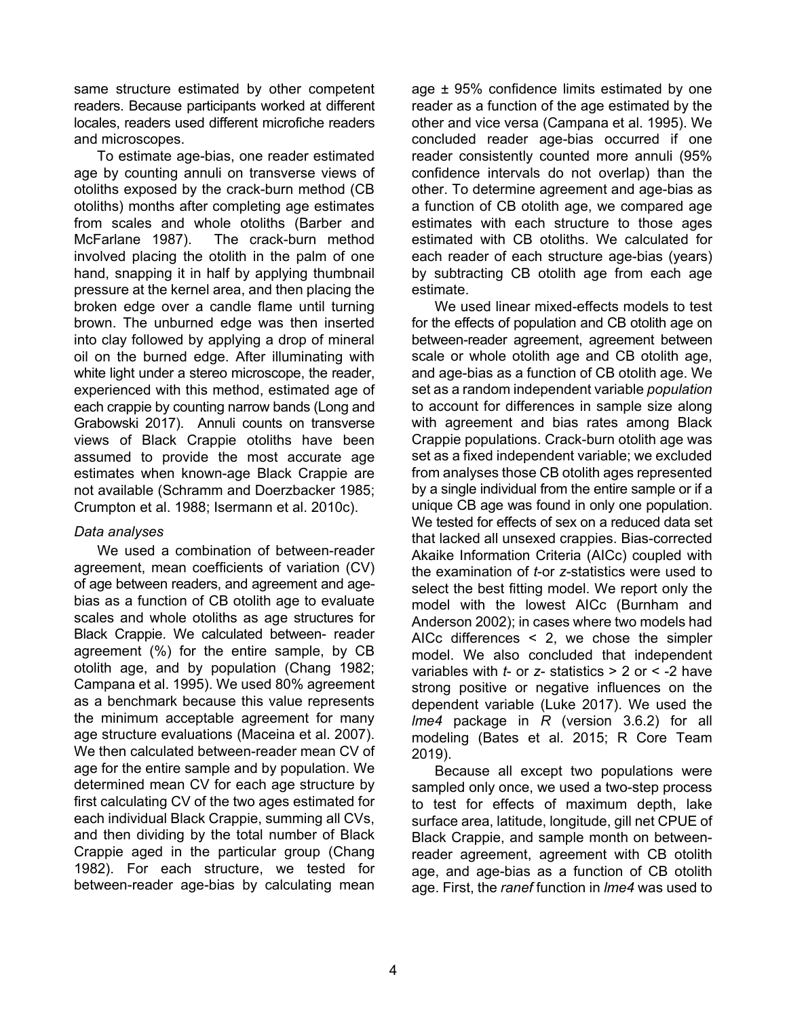same structure estimated by other competent readers. Because participants worked at different locales, readers used different microfiche readers and microscopes.

To estimate age-bias, one reader estimated age by counting annuli on transverse views of otoliths exposed by the crack-burn method (CB otoliths) months after completing age estimates from scales and whole otoliths (Barber and McFarlane 1987). The crack-burn method involved placing the otolith in the palm of one hand, snapping it in half by applying thumbnail pressure at the kernel area, and then placing the broken edge over a candle flame until turning brown. The unburned edge was then inserted into clay followed by applying a drop of mineral oil on the burned edge. After illuminating with white light under a stereo microscope, the reader, experienced with this method, estimated age of each crappie by counting narrow bands (Long and Grabowski 2017). Annuli counts on transverse views of Black Crappie otoliths have been assumed to provide the most accurate age estimates when known-age Black Crappie are not available (Schramm and Doerzbacker 1985; Crumpton et al. 1988; Isermann et al. 2010c).

#### *Data analyses*

We used a combination of between-reader agreement, mean coefficients of variation (CV) of age between readers, and agreement and agebias as a function of CB otolith age to evaluate scales and whole otoliths as age structures for Black Crappie. We calculated between- reader agreement (%) for the entire sample, by CB otolith age, and by population (Chang 1982; Campana et al. 1995). We used 80% agreement as a benchmark because this value represents the minimum acceptable agreement for many age structure evaluations (Maceina et al. 2007). We then calculated between-reader mean CV of age for the entire sample and by population. We determined mean CV for each age structure by first calculating CV of the two ages estimated for each individual Black Crappie, summing all CVs, and then dividing by the total number of Black Crappie aged in the particular group (Chang 1982). For each structure, we tested for between-reader age-bias by calculating mean age ± 95% confidence limits estimated by one reader as a function of the age estimated by the other and vice versa (Campana et al. 1995). We concluded reader age-bias occurred if one reader consistently counted more annuli (95% confidence intervals do not overlap) than the other. To determine agreement and age-bias as a function of CB otolith age, we compared age estimates with each structure to those ages estimated with CB otoliths. We calculated for each reader of each structure age-bias (years) by subtracting CB otolith age from each age estimate.

We used linear mixed-effects models to test for the effects of population and CB otolith age on between-reader agreement, agreement between scale or whole otolith age and CB otolith age, and age-bias as a function of CB otolith age. We set as a random independent variable *population* to account for differences in sample size along with agreement and bias rates among Black Crappie populations. Crack-burn otolith age was set as a fixed independent variable; we excluded from analyses those CB otolith ages represented by a single individual from the entire sample or if a unique CB age was found in only one population. We tested for effects of sex on a reduced data set that lacked all unsexed crappies. Bias-corrected Akaike Information Criteria (AICc) coupled with the examination of *t*-or *z*-statistics were used to select the best fitting model. We report only the model with the lowest AICc (Burnham and Anderson 2002); in cases where two models had AICc differences < 2, we chose the simpler model. We also concluded that independent variables with *t*- or *z*- statistics > 2 or < -2 have strong positive or negative influences on the dependent variable (Luke 2017). We used the *lme4* package in *R* (version 3.6.2) for all modeling (Bates et al. 2015; R Core Team 2019).

Because all except two populations were sampled only once, we used a two-step process to test for effects of maximum depth, lake surface area, latitude, longitude, gill net CPUE of Black Crappie, and sample month on betweenreader agreement, agreement with CB otolith age, and age-bias as a function of CB otolith age. First, the *ranef* function in *lme4* was used to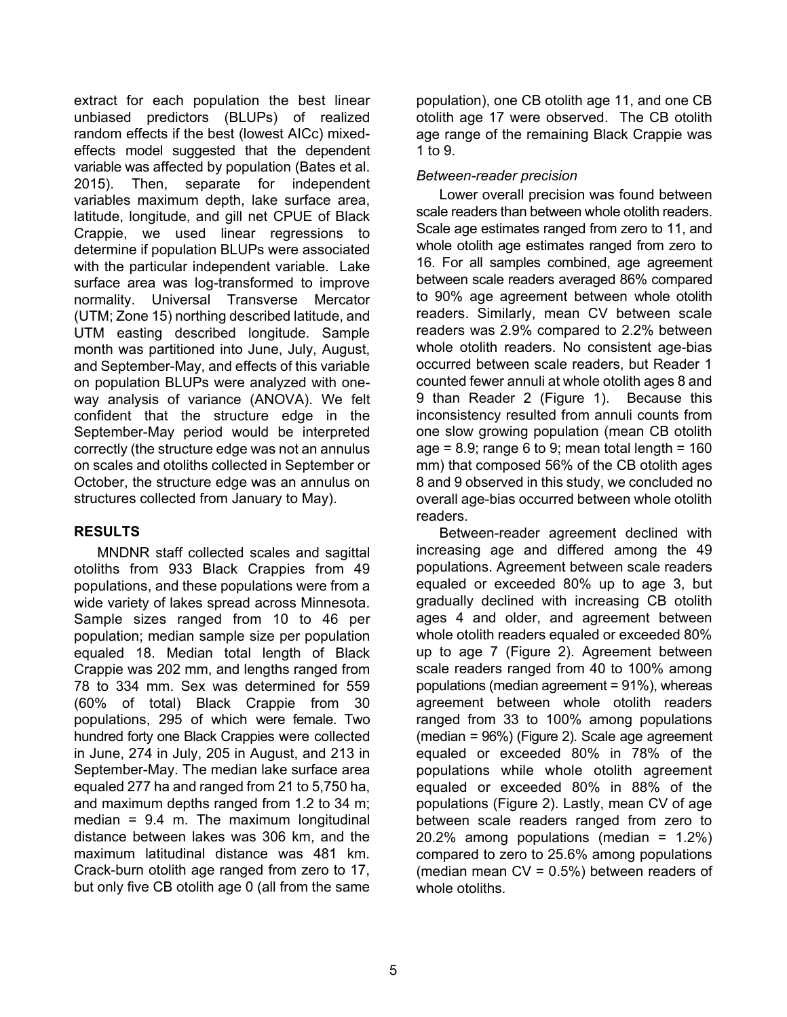extract for each population the best linear unbiased predictors (BLUPs) of realized random effects if the best (lowest AICc) mixedeffects model suggested that the dependent variable was affected by population (Bates et al. 2015). Then, separate for independent variables maximum depth, lake surface area, latitude, longitude, and gill net CPUE of Black Crappie, we used linear regressions to determine if population BLUPs were associated with the particular independent variable. Lake surface area was log-transformed to improve normality. Universal Transverse Mercator (UTM; Zone 15) northing described latitude, and UTM easting described longitude. Sample month was partitioned into June, July, August, and September-May, and effects of this variable on population BLUPs were analyzed with oneway analysis of variance (ANOVA). We felt confident that the structure edge in the September-May period would be interpreted correctly (the structure edge was not an annulus on scales and otoliths collected in September or October, the structure edge was an annulus on structures collected from January to May).

# **RESULTS**

MNDNR staff collected scales and sagittal otoliths from 933 Black Crappies from 49 populations, and these populations were from a wide variety of lakes spread across Minnesota. Sample sizes ranged from 10 to 46 per population; median sample size per population equaled 18. Median total length of Black Crappie was 202 mm, and lengths ranged from 78 to 334 mm. Sex was determined for 559 (60% of total) Black Crappie from 30 populations, 295 of which were female. Two hundred forty one Black Crappies were collected in June, 274 in July, 205 in August, and 213 in September-May. The median lake surface area equaled 277 ha and ranged from 21 to 5,750 ha, and maximum depths ranged from 1.2 to 34 m; median =  $9.4$  m. The maximum longitudinal distance between lakes was 306 km, and the maximum latitudinal distance was 481 km. Crack-burn otolith age ranged from zero to 17, but only five CB otolith age 0 (all from the same

population), one CB otolith age 11, and one CB otolith age 17 were observed. The CB otolith age range of the remaining Black Crappie was 1 to 9.

## *Between-reader precision*

Lower overall precision was found between scale readers than between whole otolith readers. Scale age estimates ranged from zero to 11, and whole otolith age estimates ranged from zero to 16. For all samples combined, age agreement between scale readers averaged 86% compared to 90% age agreement between whole otolith readers. Similarly, mean CV between scale readers was 2.9% compared to 2.2% between whole otolith readers. No consistent age-bias occurred between scale readers, but Reader 1 counted fewer annuli at whole otolith ages 8 and 9 than Reader 2 (Figure 1). Because this inconsistency resulted from annuli counts from one slow growing population (mean CB otolith age =  $8.9$ ; range 6 to 9; mean total length =  $160$ mm) that composed 56% of the CB otolith ages 8 and 9 observed in this study, we concluded no overall age-bias occurred between whole otolith readers.

Between-reader agreement declined with increasing age and differed among the 49 populations. Agreement between scale readers equaled or exceeded 80% up to age 3, but gradually declined with increasing CB otolith ages 4 and older, and agreement between whole otolith readers equaled or exceeded 80% up to age 7 (Figure 2). Agreement between scale readers ranged from 40 to 100% among populations (median agreement = 91%), whereas agreement between whole otolith readers ranged from 33 to 100% among populations (median = 96%) (Figure 2). Scale age agreement equaled or exceeded 80% in 78% of the populations while whole otolith agreement equaled or exceeded 80% in 88% of the populations (Figure 2). Lastly, mean CV of age between scale readers ranged from zero to 20.2% among populations (median = 1.2%) compared to zero to 25.6% among populations (median mean  $CV = 0.5\%$ ) between readers of whole otoliths.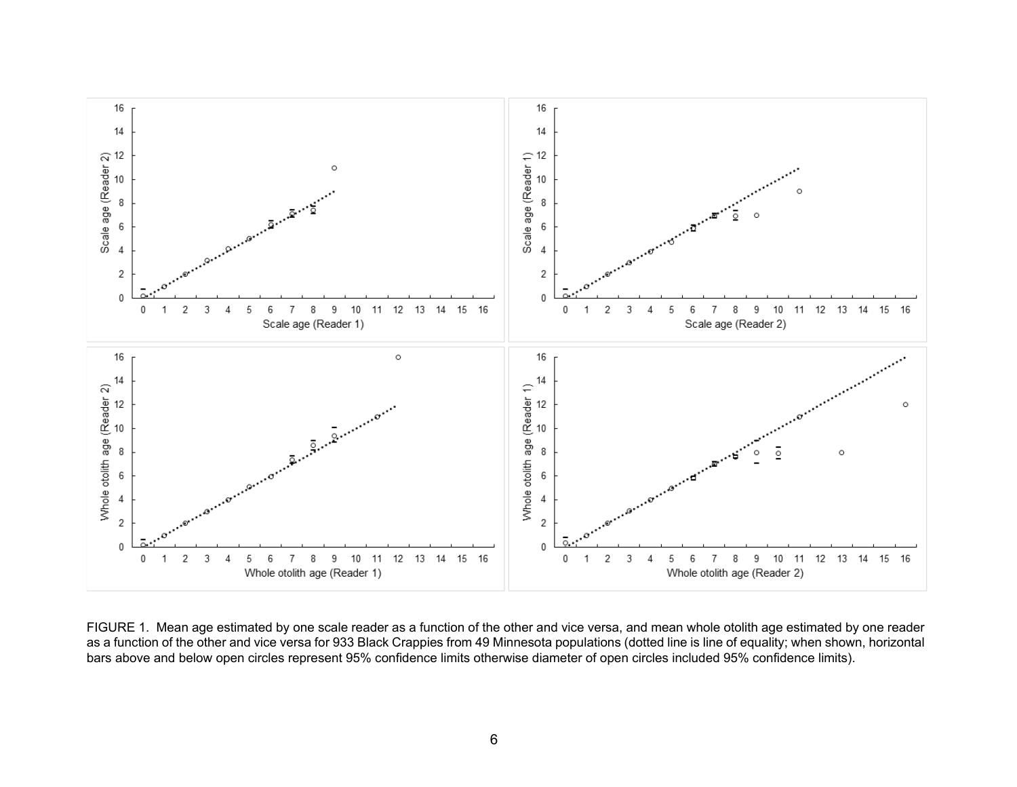

FIGURE 1. Mean age estimated by one scale reader as a function of the other and vice versa, and mean whole otolith age estimated by one reader as a function of the other and vice versa for 933 Black Crappies from 49 Minnesota populations (dotted line is line of equality; when shown, horizontal bars above and below open circles represent 95% confidence limits otherwise diameter of open circles included 95% confidence limits).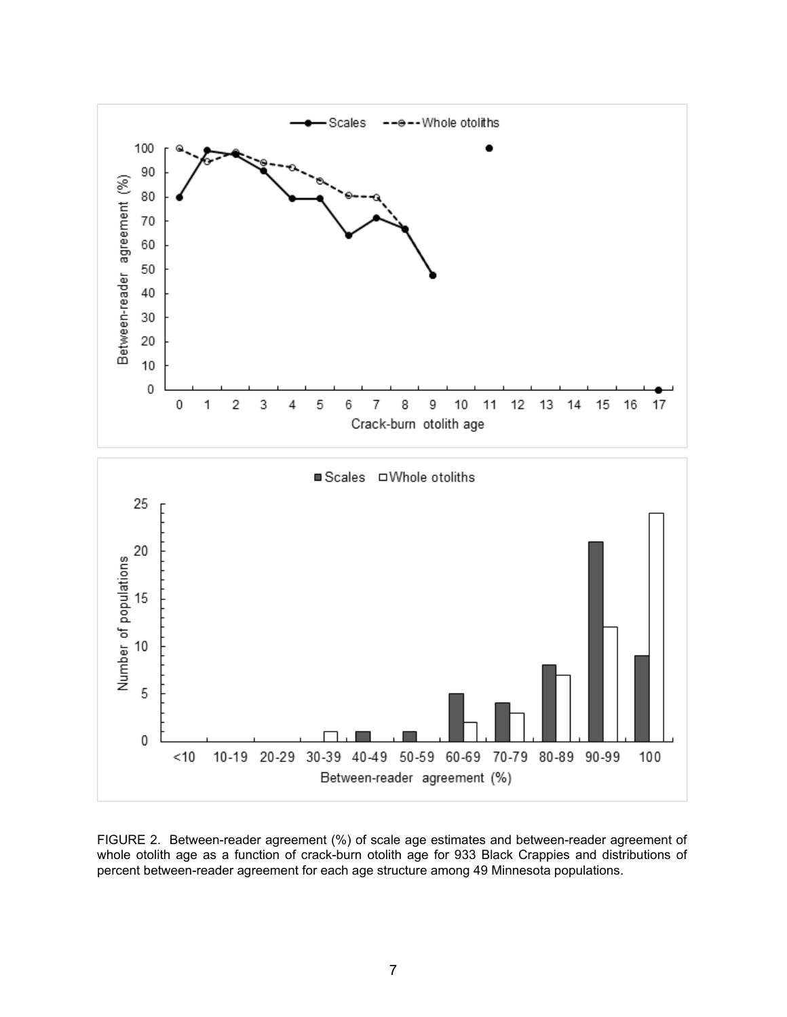

FIGURE 2. Between-reader agreement (%) of scale age estimates and between-reader agreement of whole otolith age as a function of crack-burn otolith age for 933 Black Crappies and distributions of percent between-reader agreement for each age structure among 49 Minnesota populations.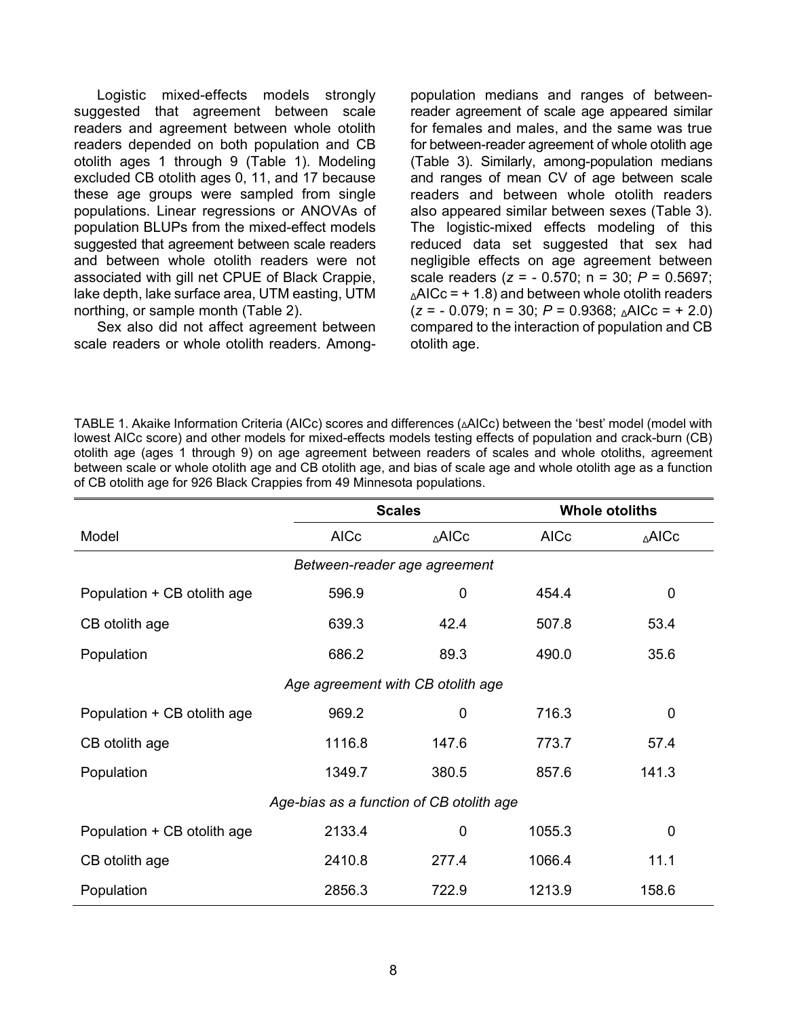Logistic mixed-effects models strongly suggested that agreement between scale readers and agreement between whole otolith readers depended on both population and CB otolith ages 1 through 9 (Table 1). Modeling excluded CB otolith ages 0, 11, and 17 because these age groups were sampled from single populations. Linear regressions or ANOVAs of population BLUPs from the mixed-effect models suggested that agreement between scale readers and between whole otolith readers were not associated with gill net CPUE of Black Crappie, lake depth, lake surface area, UTM easting, UTM northing, or sample month (Table 2).

Sex also did not affect agreement between scale readers or whole otolith readers. Amongpopulation medians and ranges of betweenreader agreement of scale age appeared similar for females and males, and the same was true for between-reader agreement of whole otolith age (Table 3). Similarly, among-population medians and ranges of mean CV of age between scale readers and between whole otolith readers also appeared similar between sexes (Table 3). The logistic-mixed effects modeling of this reduced data set suggested that sex had negligible effects on age agreement between scale readers (*z* = - 0.570; n = 30; *P* = 0.5697;  $\triangle$ AICc = + 1.8) and between whole otolith readers (*z* = - 0.079; n = 30; *P* = 0.9368; ΔAICc = + 2.0) compared to the interaction of population and CB otolith age.

TABLE 1. Akaike Information Criteria (AICc) scores and differences (ΔAICc) between the 'best' model (model with lowest AICc score) and other models for mixed-effects models testing effects of population and crack-burn (CB) otolith age (ages 1 through 9) on age agreement between readers of scales and whole otoliths, agreement between scale or whole otolith age and CB otolith age, and bias of scale age and whole otolith age as a function of CB otolith age for 926 Black Crappies from 49 Minnesota populations.

|                                          | <b>Scales</b> |       | <b>Whole otoliths</b> |             |  |  |  |  |  |
|------------------------------------------|---------------|-------|-----------------------|-------------|--|--|--|--|--|
| Model                                    | <b>AICc</b>   | ∆AICc | <b>AICc</b>           | ∆AICc       |  |  |  |  |  |
| Between-reader age agreement             |               |       |                       |             |  |  |  |  |  |
| Population + CB otolith age              | 596.9         | 0     | 454.4                 | $\mathbf 0$ |  |  |  |  |  |
| CB otolith age                           | 639.3         | 42.4  | 507.8                 | 53.4        |  |  |  |  |  |
| Population                               | 686.2         | 89.3  | 490.0                 | 35.6        |  |  |  |  |  |
| Age agreement with CB otolith age        |               |       |                       |             |  |  |  |  |  |
| Population + CB otolith age              | 969.2         | 0     | 716.3                 | $\mathbf 0$ |  |  |  |  |  |
| CB otolith age                           | 1116.8        | 147.6 | 773.7                 | 57.4        |  |  |  |  |  |
| Population                               | 1349.7        | 380.5 | 857.6                 | 141.3       |  |  |  |  |  |
| Age-bias as a function of CB otolith age |               |       |                       |             |  |  |  |  |  |
| Population + CB otolith age              | 2133.4        | 0     | 1055.3                | $\mathbf 0$ |  |  |  |  |  |
| CB otolith age                           | 2410.8        | 277.4 | 1066.4                | 11.1        |  |  |  |  |  |
| Population                               | 2856.3        | 722.9 | 1213.9                | 158.6       |  |  |  |  |  |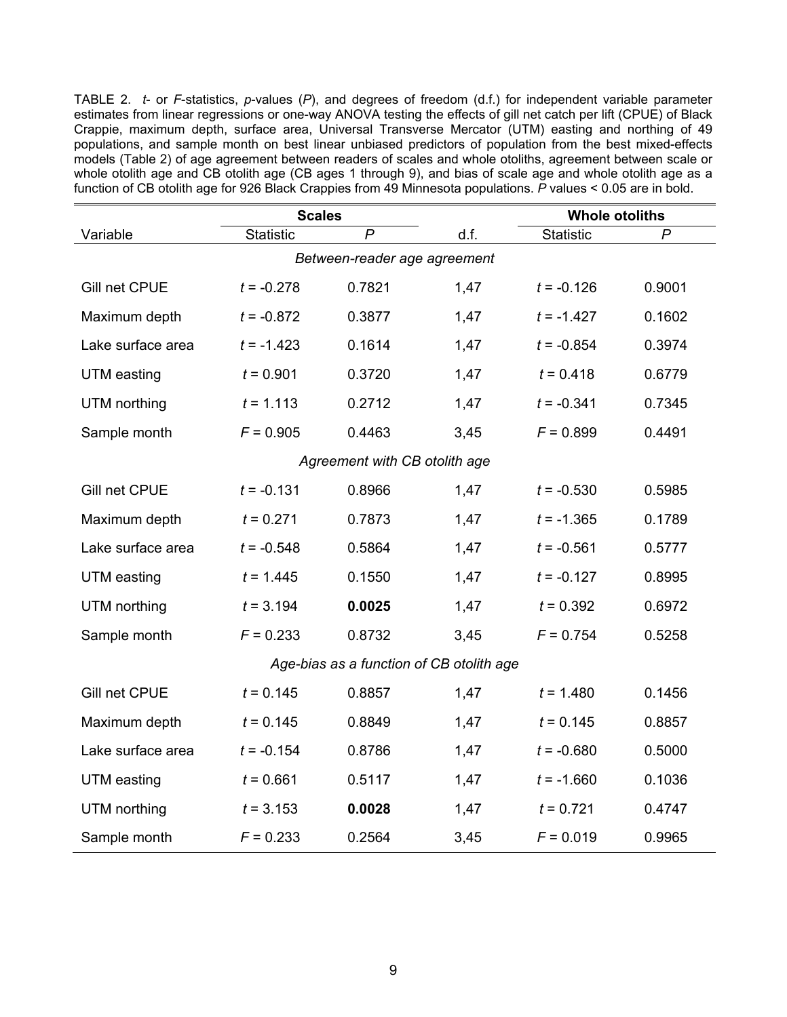TABLE 2. *t*- or *F*-statistics, *p*-values (*P*), and degrees of freedom (d.f.) for independent variable parameter estimates from linear regressions or one-way ANOVA testing the effects of gill net catch per lift (CPUE) of Black Crappie, maximum depth, surface area, Universal Transverse Mercator (UTM) easting and northing of 49 populations, and sample month on best linear unbiased predictors of population from the best mixed-effects models (Table 2) of age agreement between readers of scales and whole otoliths, agreement between scale or whole otolith age and CB otolith age (CB ages 1 through 9), and bias of scale age and whole otolith age as a function of CB otolith age for 926 Black Crappies from 49 Minnesota populations. *P* values < 0.05 are in bold.

|                                          | <b>Scales</b> |        |      | <b>Whole otoliths</b> |        |  |  |  |  |
|------------------------------------------|---------------|--------|------|-----------------------|--------|--|--|--|--|
| Variable                                 | Statistic     | P      | d.f. | Statistic             | P      |  |  |  |  |
| Between-reader age agreement             |               |        |      |                       |        |  |  |  |  |
| Gill net CPUE                            | $t = -0.278$  | 0.7821 | 1,47 | $t = -0.126$          | 0.9001 |  |  |  |  |
| Maximum depth                            | $t = -0.872$  | 0.3877 | 1,47 | $t = -1.427$          | 0.1602 |  |  |  |  |
| Lake surface area                        | $t = -1.423$  | 0.1614 | 1,47 | $t = -0.854$          | 0.3974 |  |  |  |  |
| UTM easting                              | $t = 0.901$   | 0.3720 | 1,47 | $t = 0.418$           | 0.6779 |  |  |  |  |
| UTM northing                             | $t = 1.113$   | 0.2712 | 1,47 | $t = -0.341$          | 0.7345 |  |  |  |  |
| Sample month                             | $F = 0.905$   | 0.4463 | 3,45 | $F = 0.899$           | 0.4491 |  |  |  |  |
| Agreement with CB otolith age            |               |        |      |                       |        |  |  |  |  |
| Gill net CPUE                            | $t = -0.131$  | 0.8966 | 1,47 | $t = -0.530$          | 0.5985 |  |  |  |  |
| Maximum depth                            | $t = 0.271$   | 0.7873 | 1,47 | $t = -1.365$          | 0.1789 |  |  |  |  |
| Lake surface area                        | $t = -0.548$  | 0.5864 | 1,47 | $t = -0.561$          | 0.5777 |  |  |  |  |
| UTM easting                              | $t = 1.445$   | 0.1550 | 1,47 | $t = -0.127$          | 0.8995 |  |  |  |  |
| UTM northing                             | $t = 3.194$   | 0.0025 | 1,47 | $t = 0.392$           | 0.6972 |  |  |  |  |
| Sample month                             | $F = 0.233$   | 0.8732 | 3,45 | $F = 0.754$           | 0.5258 |  |  |  |  |
| Age-bias as a function of CB otolith age |               |        |      |                       |        |  |  |  |  |
| Gill net CPUE                            | $t = 0.145$   | 0.8857 | 1,47 | $t = 1.480$           | 0.1456 |  |  |  |  |
| Maximum depth                            | $t = 0.145$   | 0.8849 | 1,47 | $t = 0.145$           | 0.8857 |  |  |  |  |
| Lake surface area                        | $t = -0.154$  | 0.8786 | 1,47 | $t = -0.680$          | 0.5000 |  |  |  |  |
| <b>UTM</b> easting                       | $t = 0.661$   | 0.5117 | 1,47 | $t = -1.660$          | 0.1036 |  |  |  |  |
| UTM northing                             | $t = 3.153$   | 0.0028 | 1,47 | $t = 0.721$           | 0.4747 |  |  |  |  |
| Sample month                             | $F = 0.233$   | 0.2564 | 3,45 | $F = 0.019$           | 0.9965 |  |  |  |  |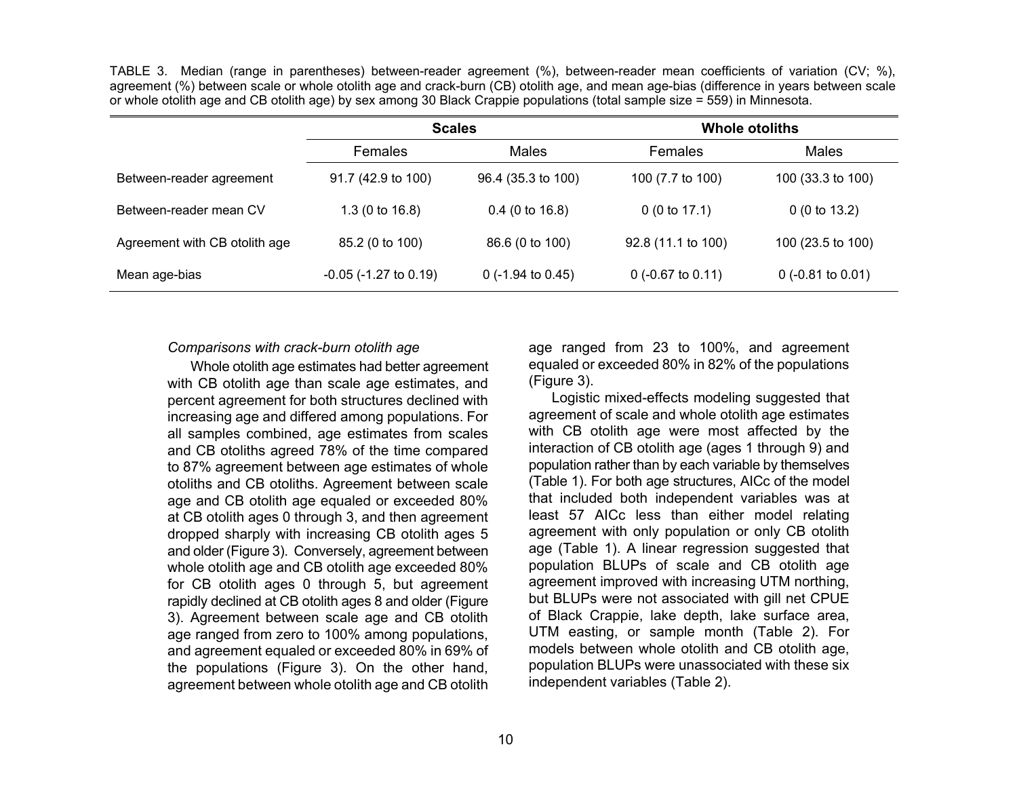TABLE 3. Median (range in parentheses) between-reader agreement (%), between-reader mean coefficients of variation (CV; %), agreement (%) between scale or whole otolith age and crack-burn (CB) otolith age, and mean age-bias (difference in years between scale or whole otolith age and CB otolith age) by sex among 30 Black Crappie populations (total sample size = 559) in Minnesota.

|                               | <b>Scales</b>                 |                              | <b>Whole otoliths</b>        |                     |  |
|-------------------------------|-------------------------------|------------------------------|------------------------------|---------------------|--|
|                               | <b>Females</b>                | Males                        | Females                      | Males               |  |
| Between-reader agreement      | 91.7 (42.9 to 100)            | 96.4 (35.3 to 100)           | 100 (7.7 to 100)             | 100 (33.3 to 100)   |  |
| Between-reader mean CV        | 1.3 (0 to $16.8$ )            | $0.4$ (0 to 16.8)            | 0(0 to 17.1)                 | 0(0 to 13.2)        |  |
| Agreement with CB otolith age | 85.2 (0 to 100)               | 86.6 (0 to 100)              | 92.8 (11.1 to 100)           | 100 (23.5 to 100)   |  |
| Mean age-bias                 | $-0.05$ ( $-1.27$ to $0.19$ ) | 0 $(-1.94 \text{ to } 0.45)$ | 0 $(-0.67 \text{ to } 0.11)$ | $0$ (-0.81 to 0.01) |  |

#### *Comparisons with crack-burn otolith age*

Whole otolith age estimates had better agreement with CB otolith age than scale age estimates, and percent agreement for both structures declined with increasing age and differed among populations. For all samples combined, age estimates from scales and CB otoliths agreed 78% of the time compared to 87% agreement between age estimates of whole otoliths and CB otoliths. Agreement between scale age and CB otolith age equaled or exceeded 80% at CB otolith ages 0 through 3, and then agreement dropped sharply with increasing CB otolith ages 5 and older (Figure 3). Conversely, agreement between whole otolith age and CB otolith age exceeded 80% for CB otolith ages 0 through 5, but agreement rapidly declined at CB otolith ages 8 and older (Figure 3). Agreement between scale age and CB otolith age ranged from zero to 100% among populations, and agreement equaled or exceeded 80% in 69% of the populations (Figure 3). On the other hand, agreement between whole otolith age and CB otolith

age ranged from 23 to 100%, and agreement equaled or exceeded 80% in 82% of the populations (Figure 3).

Logistic mixed-effects modeling suggested that agreement of scale and whole otolith age estimates with CB otolith age were most affected by the interaction of CB otolith age (ages 1 through 9) and population rather than by each variable by themselves (Table 1). For both age structures, AICc of the model that included both independent variables was at least 57 AICc less than either model relating agreement with only population or only CB otolith age (Table 1). A linear regression suggested that population BLUPs of scale and CB otolith age agreement improved with increasing UTM northing, but BLUPs were not associated with gill net CPUE of Black Crappie, lake depth, lake surface area, UTM easting, or sample month (Table 2). For models between whole otolith and CB otolith age, population BLUPs were unassociated with these six independent variables (Table 2).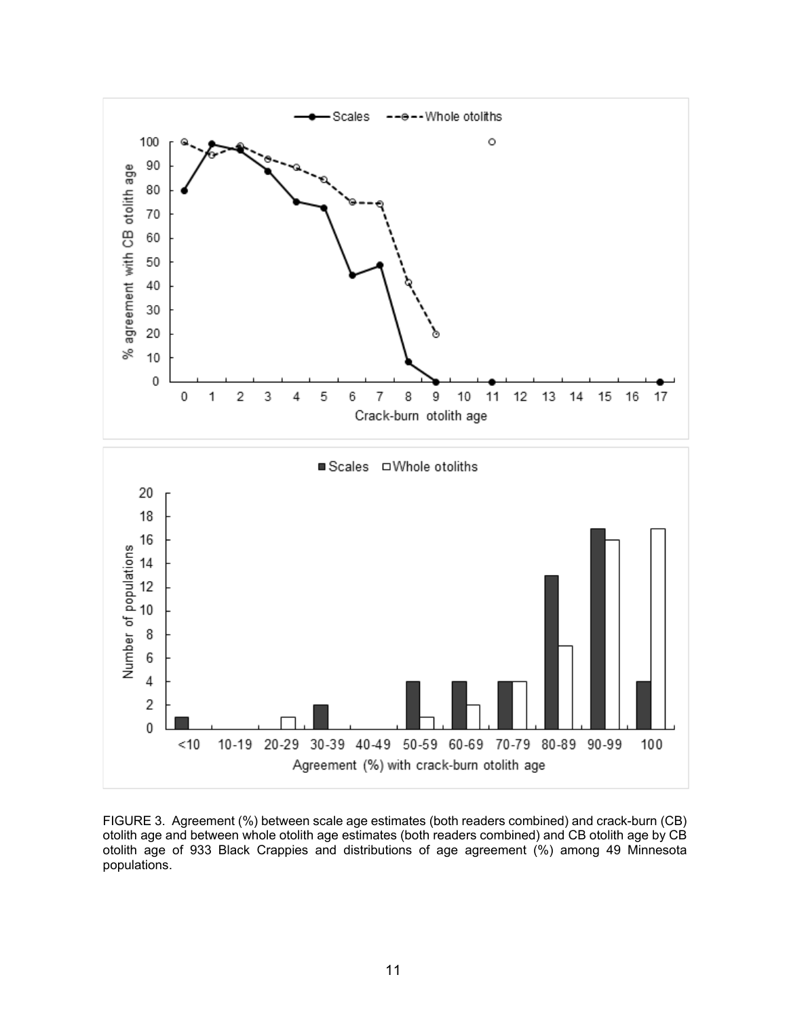

FIGURE 3. Agreement (%) between scale age estimates (both readers combined) and crack-burn (CB) otolith age and between whole otolith age estimates (both readers combined) and CB otolith age by CB otolith age of 933 Black Crappies and distributions of age agreement (%) among 49 Minnesota populations.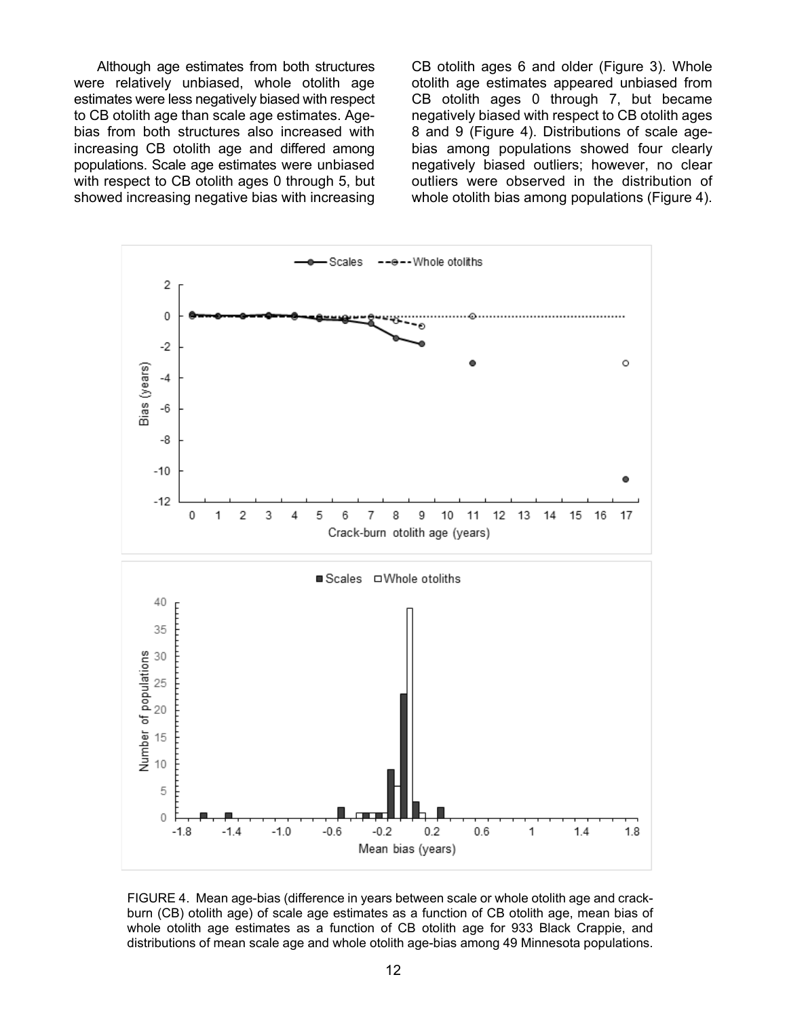Although age estimates from both structures were relatively unbiased, whole otolith age estimates were less negatively biased with respect to CB otolith age than scale age estimates. Agebias from both structures also increased with increasing CB otolith age and differed among populations. Scale age estimates were unbiased with respect to CB otolith ages 0 through 5, but showed increasing negative bias with increasing

CB otolith ages 6 and older (Figure 3). Whole otolith age estimates appeared unbiased from CB otolith ages 0 through 7, but became negatively biased with respect to CB otolith ages 8 and 9 (Figure 4). Distributions of scale agebias among populations showed four clearly negatively biased outliers; however, no clear outliers were observed in the distribution of whole otolith bias among populations (Figure 4).



FIGURE 4. Mean age-bias (difference in years between scale or whole otolith age and crackburn (CB) otolith age) of scale age estimates as a function of CB otolith age, mean bias of whole otolith age estimates as a function of CB otolith age for 933 Black Crappie, and distributions of mean scale age and whole otolith age-bias among 49 Minnesota populations.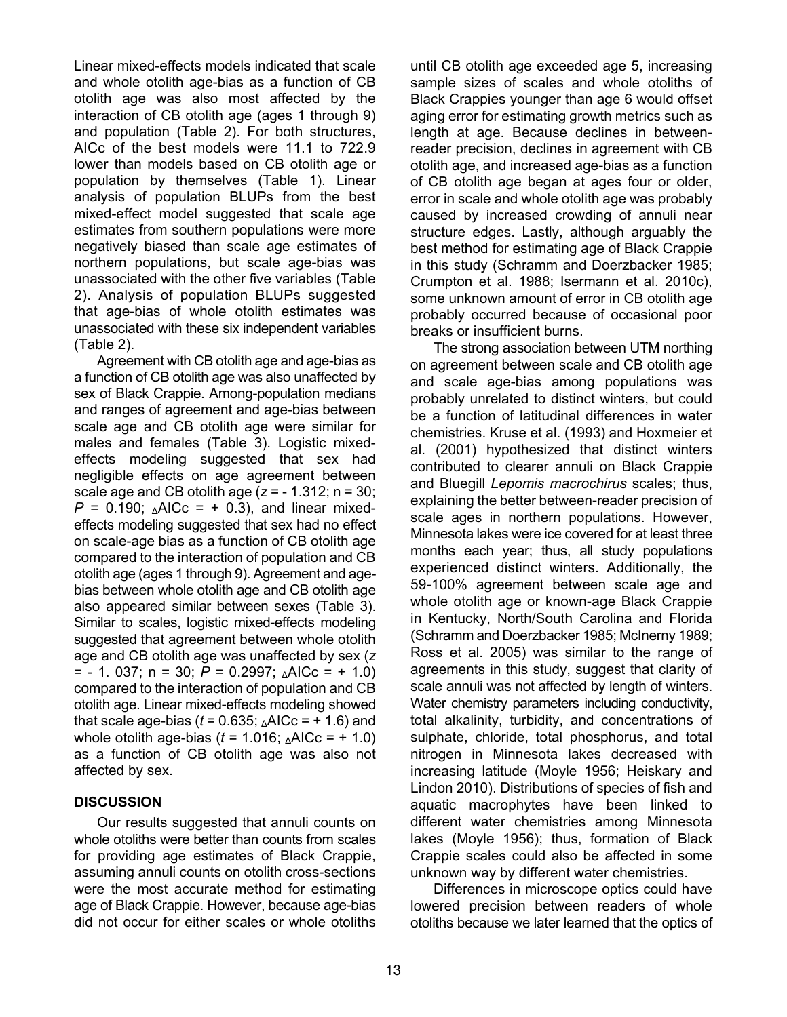Linear mixed-effects models indicated that scale and whole otolith age-bias as a function of CB otolith age was also most affected by the interaction of CB otolith age (ages 1 through 9) and population (Table 2). For both structures, AICc of the best models were 11.1 to 722.9 lower than models based on CB otolith age or population by themselves (Table 1). Linear analysis of population BLUPs from the best mixed-effect model suggested that scale age estimates from southern populations were more negatively biased than scale age estimates of northern populations, but scale age-bias was unassociated with the other five variables (Table 2). Analysis of population BLUPs suggested that age-bias of whole otolith estimates was unassociated with these six independent variables (Table 2).

Agreement with CB otolith age and age-bias as a function of CB otolith age was also unaffected by sex of Black Crappie. Among-population medians and ranges of agreement and age-bias between scale age and CB otolith age were similar for males and females (Table 3). Logistic mixedeffects modeling suggested that sex had negligible effects on age agreement between scale age and CB otolith age (*z* = - 1.312; n = 30;  $P = 0.190$ ;  $\triangle$ AICc = + 0.3), and linear mixedeffects modeling suggested that sex had no effect on scale-age bias as a function of CB otolith age compared to the interaction of population and CB otolith age (ages 1 through 9). Agreement and agebias between whole otolith age and CB otolith age also appeared similar between sexes (Table 3). Similar to scales, logistic mixed-effects modeling suggested that agreement between whole otolith age and CB otolith age was unaffected by sex (*z*  $=$  - 1. 037; n = 30;  $P = 0.2997$ ;  $\triangle$ AICc = + 1.0) compared to the interaction of population and CB otolith age. Linear mixed-effects modeling showed that scale age-bias ( $t = 0.635$ ;  $\triangle$ AICc = + 1.6) and whole otolith age-bias ( $t = 1.016$ ;  $\triangle$ AICc = + 1.0) as a function of CB otolith age was also not affected by sex.

## **DISCUSSION**

Our results suggested that annuli counts on whole otoliths were better than counts from scales for providing age estimates of Black Crappie, assuming annuli counts on otolith cross-sections were the most accurate method for estimating age of Black Crappie. However, because age-bias did not occur for either scales or whole otoliths

until CB otolith age exceeded age 5, increasing sample sizes of scales and whole otoliths of Black Crappies younger than age 6 would offset aging error for estimating growth metrics such as length at age. Because declines in betweenreader precision, declines in agreement with CB otolith age, and increased age-bias as a function of CB otolith age began at ages four or older, error in scale and whole otolith age was probably caused by increased crowding of annuli near structure edges. Lastly, although arguably the best method for estimating age of Black Crappie in this study (Schramm and Doerzbacker 1985; Crumpton et al. 1988; Isermann et al. 2010c), some unknown amount of error in CB otolith age probably occurred because of occasional poor breaks or insufficient burns.

The strong association between UTM northing on agreement between scale and CB otolith age and scale age-bias among populations was probably unrelated to distinct winters, but could be a function of latitudinal differences in water chemistries. Kruse et al. (1993) and Hoxmeier et al. (2001) hypothesized that distinct winters contributed to clearer annuli on Black Crappie and Bluegill *Lepomis macrochirus* scales; thus, explaining the better between-reader precision of scale ages in northern populations. However, Minnesota lakes were ice covered for at least three months each year; thus, all study populations experienced distinct winters. Additionally, the 59-100% agreement between scale age and whole otolith age or known-age Black Crappie in Kentucky, North/South Carolina and Florida (Schramm and Doerzbacker 1985; McInerny 1989; Ross et al. 2005) was similar to the range of agreements in this study, suggest that clarity of scale annuli was not affected by length of winters. Water chemistry parameters including conductivity, total alkalinity, turbidity, and concentrations of sulphate, chloride, total phosphorus, and total nitrogen in Minnesota lakes decreased with increasing latitude (Moyle 1956; Heiskary and Lindon 2010). Distributions of species of fish and aquatic macrophytes have been linked to different water chemistries among Minnesota lakes (Moyle 1956); thus, formation of Black Crappie scales could also be affected in some unknown way by different water chemistries.

Differences in microscope optics could have lowered precision between readers of whole otoliths because we later learned that the optics of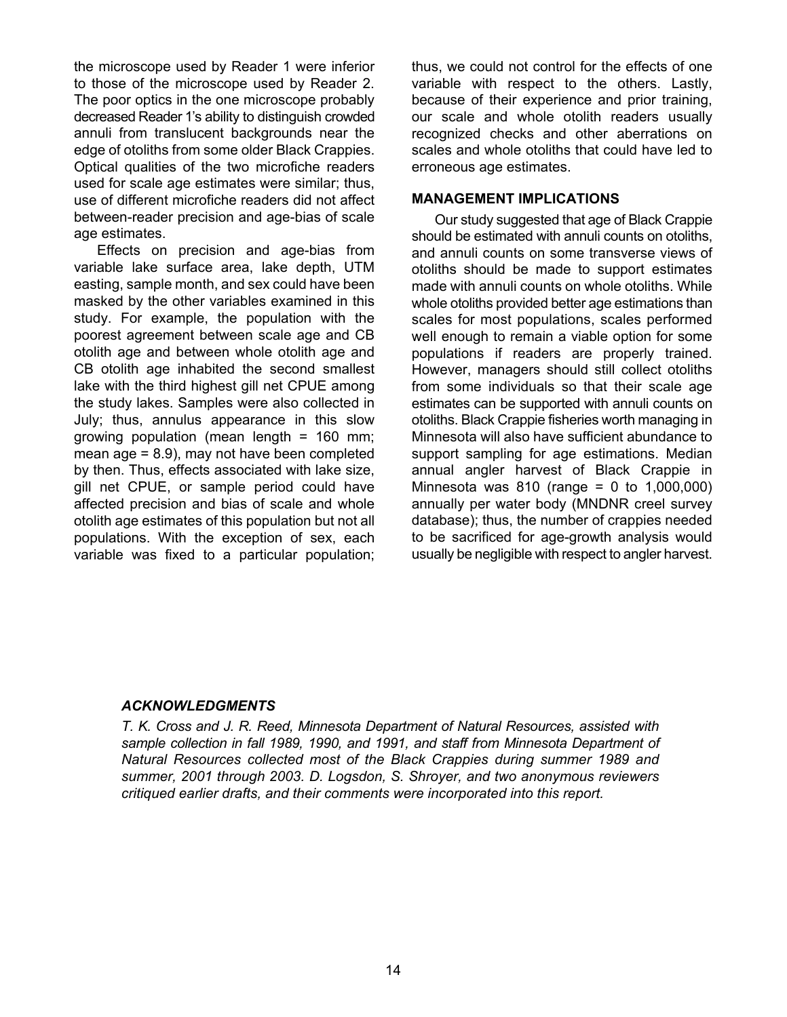the microscope used by Reader 1 were inferior to those of the microscope used by Reader 2. The poor optics in the one microscope probably decreased Reader 1's ability to distinguish crowded annuli from translucent backgrounds near the edge of otoliths from some older Black Crappies. Optical qualities of the two microfiche readers used for scale age estimates were similar; thus, use of different microfiche readers did not affect between-reader precision and age-bias of scale age estimates.

Effects on precision and age-bias from variable lake surface area, lake depth, UTM easting, sample month, and sex could have been masked by the other variables examined in this study. For example, the population with the poorest agreement between scale age and CB otolith age and between whole otolith age and CB otolith age inhabited the second smallest lake with the third highest gill net CPUE among the study lakes. Samples were also collected in July; thus, annulus appearance in this slow growing population (mean length = 160 mm; mean age  $= 8.9$ ), may not have been completed by then. Thus, effects associated with lake size, gill net CPUE, or sample period could have affected precision and bias of scale and whole otolith age estimates of this population but not all populations. With the exception of sex, each variable was fixed to a particular population; thus, we could not control for the effects of one variable with respect to the others. Lastly, because of their experience and prior training, our scale and whole otolith readers usually recognized checks and other aberrations on scales and whole otoliths that could have led to erroneous age estimates.

#### **MANAGEMENT IMPLICATIONS**

Our study suggested that age of Black Crappie should be estimated with annuli counts on otoliths, and annuli counts on some transverse views of otoliths should be made to support estimates made with annuli counts on whole otoliths. While whole otoliths provided better age estimations than scales for most populations, scales performed well enough to remain a viable option for some populations if readers are properly trained. However, managers should still collect otoliths from some individuals so that their scale age estimates can be supported with annuli counts on otoliths. Black Crappie fisheries worth managing in Minnesota will also have sufficient abundance to support sampling for age estimations. Median annual angler harvest of Black Crappie in Minnesota was 810 (range = 0 to 1,000,000) annually per water body (MNDNR creel survey database); thus, the number of crappies needed to be sacrificed for age-growth analysis would usually be negligible with respect to angler harvest.

#### *ACKNOWLEDGMENTS*

*T. K. Cross and J. R. Reed, Minnesota Department of Natural Resources, assisted with sample collection in fall 1989, 1990, and 1991, and staff from Minnesota Department of Natural Resources collected most of the Black Crappies during summer 1989 and summer, 2001 through 2003. D. Logsdon, S. Shroyer, and two anonymous reviewers critiqued earlier drafts, and their comments were incorporated into this report.*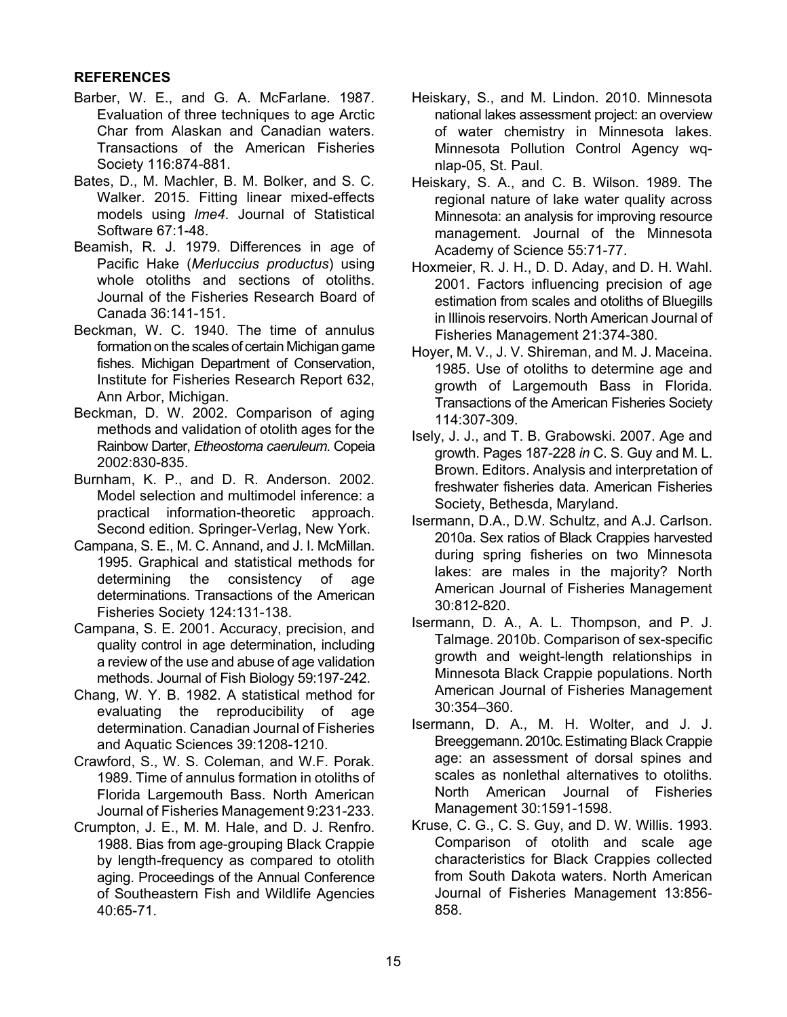## **REFERENCES**

- Barber, W. E., and G. A. McFarlane. 1987. Evaluation of three techniques to age Arctic Char from Alaskan and Canadian waters. Transactions of the American Fisheries Society 116:874-881.
- Bates, D., M. Machler, B. M. Bolker, and S. C. Walker. 2015. Fitting linear mixed-effects models using *lme4*. Journal of Statistical Software 67:1-48.
- Beamish, R. J. 1979. Differences in age of Pacific Hake (*Merluccius productus*) using whole otoliths and sections of otoliths. Journal of the Fisheries Research Board of Canada 36:141-151.
- Beckman, W. C. 1940. The time of annulus formation on the scales of certain Michigan game fishes. Michigan Department of Conservation, Institute for Fisheries Research Report 632, Ann Arbor, Michigan.
- Beckman, D. W. 2002. Comparison of aging methods and validation of otolith ages for the Rainbow Darter, *Etheostoma caeruleum*. Copeia 2002:830-835.
- Burnham, K. P., and D. R. Anderson. 2002. Model selection and multimodel inference: a practical information-theoretic approach. Second edition. Springer-Verlag, New York.
- Campana, S. E., M. C. Annand, and J. I. McMillan. 1995. Graphical and statistical methods for determining the consistency of age determinations. Transactions of the American Fisheries Society 124:131-138.
- Campana, S. E. 2001. Accuracy, precision, and quality control in age determination, including a review of the use and abuse of age validation methods. Journal of Fish Biology 59:197-242.
- Chang, W. Y. B. 1982. A statistical method for evaluating the reproducibility of age determination. Canadian Journal of Fisheries and Aquatic Sciences 39:1208-1210.
- Crawford, S., W. S. Coleman, and W.F. Porak. 1989. Time of annulus formation in otoliths of Florida Largemouth Bass. North American Journal of Fisheries Management 9:231-233.
- Crumpton, J. E., M. M. Hale, and D. J. Renfro. 1988. Bias from age-grouping Black Crappie by length-frequency as compared to otolith aging. Proceedings of the Annual Conference of Southeastern Fish and Wildlife Agencies 40:65-71.
- Heiskary, S., and M. Lindon. 2010. Minnesota national lakes assessment project: an overview of water chemistry in Minnesota lakes. Minnesota Pollution Control Agency wqnlap-05, St. Paul.
- Heiskary, S. A., and C. B. Wilson. 1989. The regional nature of lake water quality across Minnesota: an analysis for improving resource management. Journal of the Minnesota Academy of Science 55:71-77.
- Hoxmeier, R. J. H., D. D. Aday, and D. H. Wahl. 2001. Factors influencing precision of age estimation from scales and otoliths of Bluegills in Illinois reservoirs. North American Journal of Fisheries Management 21:374-380.
- Hoyer, M. V., J. V. Shireman, and M. J. Maceina. 1985. Use of otoliths to determine age and growth of Largemouth Bass in Florida. Transactions of the American Fisheries Society 114:307-309.
- Isely, J. J., and T. B. Grabowski. 2007. Age and growth. Pages 187-228 *in* C. S. Guy and M. L. Brown. Editors. Analysis and interpretation of freshwater fisheries data. American Fisheries Society, Bethesda, Maryland.
- Isermann, D.A., D.W. Schultz, and A.J. Carlson. 2010a. Sex ratios of Black Crappies harvested during spring fisheries on two Minnesota lakes: are males in the majority? North American Journal of Fisheries Management 30:812-820.
- Isermann, D. A., A. L. Thompson, and P. J. Talmage. 2010b. Comparison of sex-specific growth and weight-length relationships in Minnesota Black Crappie populations. North American Journal of Fisheries Management 30:354–360.
- Isermann, D. A., M. H. Wolter, and J. J. Breeggemann. 2010c. Estimating Black Crappie age: an assessment of dorsal spines and scales as nonlethal alternatives to otoliths. North American Journal of Fisheries Management 30:1591-1598.
- Kruse, C. G., C. S. Guy, and D. W. Willis. 1993. Comparison of otolith and scale age characteristics for Black Crappies collected from South Dakota waters. North American Journal of Fisheries Management 13:856- 858.